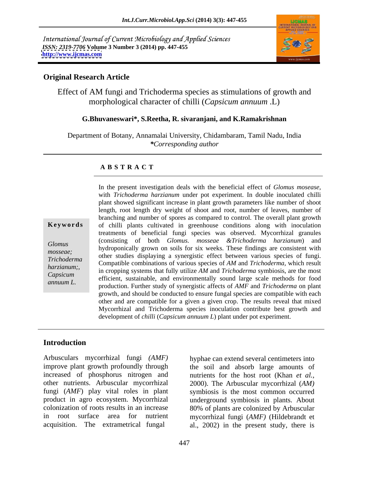International Journal of Current Microbiology and Applied Sciences *ISSN: 2319-7706* **Volume 3 Number 3 (2014) pp. 447-455 <http://www.ijcmas.com>**



## **Original Research Article**

Effect of AM fungi and Trichoderma species as stimulations of growth and morphological character of chilli (*Capsicum annuum* .L)

## **G.Bhuvaneswari\*, S.Reetha, R. sivaranjani, and K.Ramakrishnan**

Department of Botany, Annamalai University, Chidambaram, Tamil Nadu, India *\*Corresponding author* 

### **A B S T R A C T**

**Keywords** of chilli plants cultivated in greenhouse conditions along with inoculation Glomus by the consisting of both *Glomus*. *Hossede* extriction and harganism, and hydroponically grown on soils for six weeks. These findings are consistent with mosseae;<br>
other studies displaying a synergistic effect between various species of fungi. *Trichoderma*  Compatible combinations of various species of *AM* and *Trichoderma,* which result *harzianum;*<br>
in cropping systems that fully utilize *AM* and *Trichoderma* symbiosis, are the most *Capsicum*<br>
efficient, sustainable, and environmentally sound large scale methods for food *annuum L.* production. Further study of synergistic affects of *AMF* and *Trichoderma* on plant In the present investigation deals with the beneficial effect of *Glomus mosease,* with *Trichoderma harzianum* under pot experiment.In double inoculated chilli plant showed significant increase in plant growth parameters like number of shoot length, root length dry weight of shoot and root, number of leaves, number of branching and number of spores as compared to control. The overall plant growth treatments of beneficial fungi species was observed. Mycorrhizal granules (consisting of both *Glomus. mosseae &Trichoderma harzianum*) and growth, and should be conducted to ensure fungal species arecompatible with each other and are compatible for a given a given crop. The results reveal that mixed Mycorrhizal and Trichoderma species inoculation contribute best growth and development of *chilli* (*Capsicum annuum L*) plant under pot experiment.

# **Introduction**

Arbusculars mycorrhizal fungi *(AMF)* hyphae can extend several centimeters into improve plant growth profoundly through increased of phosphorus nitrogen and nutrients for the host root (Khan *et al.,* other nutrients. Arbuscular mycorrhizal 2000). The Arbuscular mycorrhizal (*AM)* fungi (*AMF*) play vital roles in plant product in agro ecosystem. Mycorrhizal underground symbiosis in plants. About colonization of roots results in an increase 80% of plants are colonized by Arbuscular in root surface area for nutrient mycorrhizal fungi (*AMF)* (Hildebrandt et

acquisition. The extrametrical fungal al., 2002) in the present study, there is the soil and absorb large amounts of symbiosis is the most common occurred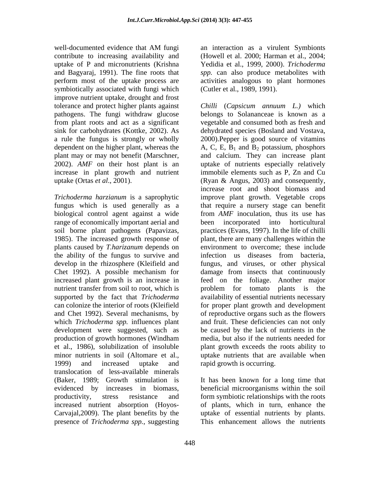well-documented evidence that AM fungi an interaction as a virulent Symbionts contribute to increasing availability and (Howell et al. 2000; Harman et al., 2004; uptake of P and micronutrients (Krishna Yedidia et al., 1999, 2000). *Trichoderma*  and Bagyaraj, 1991). The fine roots that *spp.* can also produce metabolites with perform most of the uptake process are activities analogous to plant hormones symbiotically associated with fungi which improve nutrient uptake, drought and frost pathogens. The fungi withdraw glucose from plant roots and act as a significant dependent on the higher plant, whereas the

biological control agent against a wide range of economically important aerial and been incorporated into horticultural the ability of the fungus to survive and infection us diseases from bacteria, which *Trichoderma spp.* influences plant 1999) and increased uptake and rapid growth is occurring. translocation of less-available minerals (Baker, 1989; Growth stimulation is evidenced by increases in biomass, beneficial microorganisms within the soil productivity, stress resistance and form symbiotic relationships with the roots increased nutrient absorption (Hoyos- Carvajal,2009). The plant benefits by the uptake of essential nutrients by plants. presence of *Trichoderma spp.*, suggesting

an interaction as a virulent Symbionts (Cutler et al., 1989, 1991).

tolerance and protect higher plants against *Chilli* (*Capsicum annuum L.)* which sink for carbohydrates (Kottke, 2002). As dehydrated species (Bosland and Vostava, a rule the fungus is strongly or wholly 2000).Pepper is good source of vitamins plant may or may not benefit (Marschner, and calcium. They can increase plant 2002). *AMF* on their host plant is an uptake of nutrients especially relatively increase in plant growth and nutrient immobile elements such as P, Zn and Cu uptake (Ortas *et al*., 2001). (Ryan & Angus, 2003) and consequently, *Trichoderma harzianum* is a saprophytic improve plant growth. Vegetable crops fungus which is used generally as a that require a nursery stage can benefit soil borne plant pathogens (Papavizas, practices (Evans, 1997). In the life of chilli 1985). The increased growth response of plant, there are many challenges within the plants caused by *T.harizanum* depends on environment to overcome; these include develop in the rhizosphere (Kleifield and fungus, and viruses, or other physical Chet 1992). A possible mechanism for damage from insects that continuously increased plant growth is an increase in feed on the foliage. Another major nutrient transfer from soil to root, which is  $\qquad$  problem for tomato plants is the supported by the fact that *Trichoderma* availability of essential nutrients necessary can colonize the interior of roots (Kleifield for proper plant growth and development and Chet 1992). Several mechanisms, by of reproductive organs such as the flowers development were suggested, such as be caused by the lack of nutrients in the production of growth hormones (Windham media, but also if the nutrients needed for et al., 1986), solubilization of insoluble plant growth exceeds the roots ability to minor nutrients in soil (Altomare et al., uptake nutrients that are available when belongs to Solananceae is known as a vegetable and consumed both as fresh and A, C, E,  $B_1$  and  $B_2$  potassium, phosphors increase root and shoot biomass and from *AMF* inoculation, thus its use has been incorporated into horticultural infection us diseases from bacteria, and fruit. These deficiencies can not only rapid growth is occurring.

> It has been known for <sup>a</sup> long time that of plants, which in turn, enhance the This enhancement allows the nutrients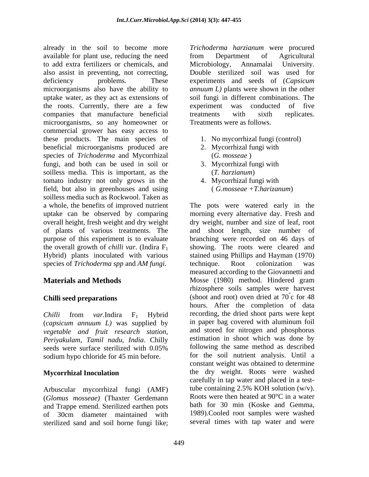already in the soil to become more *Trichoderma harzianum* were procured available for plant use, reducing the need to add extra fertilizers or chemicals, and also assist in preventing, not correcting, Double sterilized soil was used for deficiency problems. These experiments and seeds of (*Capsicum*  microorganisms also have the ability to *annuum L)* plants were shown in the other uptake water, as they act as extensions of soil fungi in different combinations. The the roots. Currently, there are a few experiment was conducted of five companies that manufacture beneficial microorganisms, so any homeowner or commercial grower has easy access to these products. The main species of beneficial microorganisms produced are 2. Mycorrhizal fungi with species of *Trichoderma* and Mycorrhizal (*G. mosseae*)<br>fungi, and both can be used in soil or 3. Mycorrhizal fungi with fungi, and both can be used in soil or soilless media. This is important, as the  $(T. harzianum)$ tomato industry not only grows in the 4. Mycorrhizal fungi with field, but also in greenhouses and using (G.mosseae +T.harizanum) soilless media such as Rockwool. Taken as a whole, the benefits of improved nutrient The pots were watered early in the uptake can be observed by comparing morning every alternative day. Fresh and overall height, fresh weight and dry weight dry weight, number and size of leaf, root of plants of various treatments. The and shoot length, size number of purpose of this experiment is to evaluate branching were recorded on 46 days of the overall growth of *chilli var*. (Indira  $F_1$  showing. The roots were cleared and Hybrid) plants inoculated with various stained using Phillips and Hayman (1970) species of *Trichoderma spp* and *AM fungi*. technique. Root colonization was

(*capsicum annuum L)* was supplied by *vegetable and fruit research station, Periyakulam, Tamil nadu, India*. Chilly sodium hypo chloride for 45 min before.

(*Glomus mosseae)* (Thaxter Gerdemann and Trappe emend. Sterilized earthen pots of 30cm diameter maintained with sterilized sand and soil borne fungi like;

from Department of Agricultural Microbiology, Annamalai University. experiment was conducted of five treatments with sixth replicates. Treatments were as follows.

- 1. No mycorrhizal fungi (control)
- 2. Mycorrhizal fungi with (*G. mosseae* )
- 3. Mycorrhizal fungi with (*T. harzianum*)
- 4. Mycorrhizal fungi with ( *G.mosseae +T.harizanum*)

**Materials and Methods** Mosse (1980) method. Hindered gram **Chilli seed preparations** (shoot and root) oven dried at 70 c for 48 *Chilli* from *var*.Indira  $F_1$  Hybrid recording, the dried shoot parts were kept seeds were surface sterilized with  $0.05\%$  following the same method as described **Mycorrhizal Inoculation** the dry weight. Roots were washed carefully in tap water and placed in a test-<br>Arbuscular mycorrhizal fungi (AMF) tube containing 2.5% KOH solution (w/v). technique. Root colonization was measured according to the Giovannetti and rhizosphere soils samples were harvest  $\degree$ c for 48 hours. After the completion of data recording, the dried shoot parts were kept in paper bag covered with aluminum foil and stored for nitrogen and phosphorus estimation in shoot which was done by following the same method as described for the soil nutrient analysis. Until a constant weight was obtained to determine carefully in tap water and placed in a testtube containing 2.5% KOH solution  $(w/v)$ . Roots were then heated at 90°C in a water bath for 30 min (Koske and Gemma, 1989).Cooled root samples were washed several times with tap water and were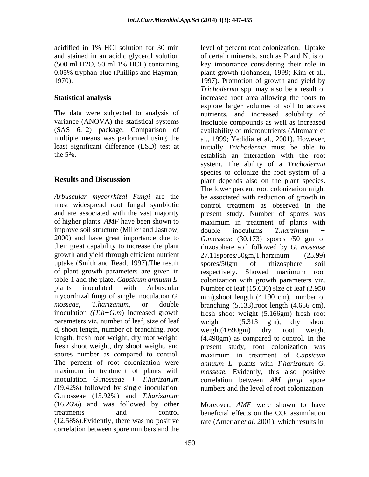acidified in 1% HCl solution for 30 min level of percent root colonization. Uptake (500 ml H2O, 50 ml 1% HCL) containing

*Arbuscular mycorrhizal Fungi* are the most widespread root fungal symbiotic improve soil structure (Miller and Jastrow,  $\qquad$  double inoculums *T.harzinum* + growth and yield through efficient nutrient 27.11 spores/50gm, T.harzinum (25.99) uptake (Smith and Read, 1997).The result of plant growth parameters are given in respectively. Showed maximum root table-1 and the plate. Capsicum annuum L. colonization with growth parameters viz. parameters viz. number of leaf, size of leaf weight (5.313 gm), dry shoot d, shoot length, number of branching, root weight (4.690gm) dry root weight length, fresh root weight, dry root weight, inoculation *G.mosseae + T.harizanum (*19.42%) followed by single inoculation. G.mosseae (15.92%) and *T.harizanum* (16.26%) and was followed by other Moreover, AMF were shown to have treatments and control beneficial effects on the CO<sub>2</sub> assimilation (12.58%).Evidently, there was no positive rate (Amerian*et al.* 2001), which results in correlation between spore numbers and the

and stained in an acidic glycerol solution of certain minerals, such as P and N, is of 0.05% tryphan blue (Phillips and Hayman, plant growth (Johansen, 1999; Kim et al., 1970). 1997). Promotion of growth and yield by **Statistical analysis** increased root area allowing the roots to The data were subjected to analysis of nutrients, and increased solubility of variance (ANOVA) the statistical systems insoluble compounds as well as increased (SAS 6.12) package. Comparison of availability of micronutrients (Altomare et multiple means was performed using the al., 1999; Yedidia et al., 2001). However, least significant difference (LSD) test at initially *Trichoderma* must be able to the 5%. establish an interaction with the root **Results and Discussion** plant depends also on the plant species. and are associated with the vast majority present study. Number of spores was of higher plants. *AMF* have been shown to maximum in treatment of plants with 2000) and have great importance due to *G.mosseae* (30.173) spores /50 gm of their great capability to increase the plant rhizosphere soil followed by *G. mosease* table-1 and the plate. *Capsicum annuum L*. colonization with growth parameters viz.<br>plants inoculated with Arbuscular Number of leaf (15.630) size of leaf (2.950 mycorrhizal fungi of single inoculation *G.* mm),shoot length (4.190 cm), number of mosseae, T.harizanum, or double branching (5.133),root length (4.656 cm), inoculation *((T.h+G.m*) increased growth fresh shoot weight (5.166gm) fresh root fresh shoot weight, dry shoot weight, and present study, root colonization was spores number as compared to control. maximum in treatment of *Capsicum*  The percent of root colonization were *annuum L.* plants with *T.harizanum G.* maximum in treatment of plants with *mosseae*. Evidently, this also positive key importance considering their role in *Trichoderma* spp. may also be a result of explore larger volumes of soil to access system. The ability of a *Trichoderma*  species to colonize the root system of a The lower percent root colonization might be associated with reduction of growth in control treatment as observed in the double inoculums *T.harzinum +* 27.11spores/50gm,T.harzinum (25.99) spores/50gm of rhizosphere soil respectively. Showed maximum root colonization with growth parameters viz. Number of leaf (15.630**)** size of leaf (2.950 weight (5.313 gm), dry shoot weight(4.690gm) dry root weight (4.490gm) as compared to control. In the correlation between *AM fungi* spore numbers and the level of root colonization.

Moreover, *AMF* were shown to have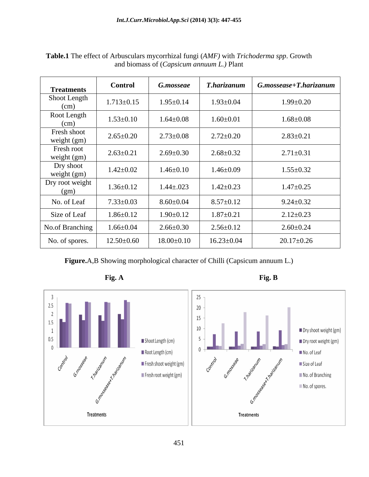| <b>Treatments</b>                          | <b>Control</b>   | <b>G.mosseae</b> | T.harizanum      | $\mid$ G.mossease+T.harizanum |
|--------------------------------------------|------------------|------------------|------------------|-------------------------------|
| Shoot Length<br>(cm)                       | $1.713 \pm 0.15$ | $1.95 \pm 0.14$  | $1.93 \pm 0.04$  | $1.99 \pm 0.20$               |
| Root Length<br>(cm)                        | $1.53 \pm 0.10$  | $1.64 \pm 0.08$  | $1.60{\pm}0.01$  | $1.68 \pm 0.08$               |
| Fresh shoot<br>weight (gm)                 | $2.65 \pm 0.20$  | $2.73 \pm 0.08$  | $2.72 \pm 0.20$  | $2.83 \pm 0.21$               |
| Fresh root<br>weight (gm)                  | $2.63 \pm 0.21$  | $2.69 \pm 0.30$  | $2.68 \pm 0.32$  | $2.71 \pm 0.31$               |
| Dry shoot<br>weight (gm)                   | $1.42 \pm 0.02$  | $1.46 \pm 0.10$  | $1.46 \pm 0.09$  | $1.55 \pm 0.32$               |
| Dry root weight<br>$\frac{\text{(gm)}}{2}$ | $1.36 \pm 0.12$  | $1.44 \pm 0.023$ | $1.42 \pm 0.23$  | $1.47 \pm 0.25$               |
| No. of Leaf                                | $7.33 \pm 0.03$  | $8.60 \pm 0.04$  | $8.57 \pm 0.12$  | $9.24 \pm 0.32$               |
| Size of Leaf                               | $1.86 \pm 0.12$  | $1.90 \pm 0.12$  | $1.87 \pm 0.21$  | $2.12 \pm 0.23$               |
| No.of Branching                            | $1.66 \pm 0.04$  | $2.66 \pm 0.30$  | $2.56 \pm 0.12$  | $2.60 \pm 0.24$               |
| No. of spores.                             | $12.50\pm0.60$   | $18.00 \pm 0.10$ | $16.23 \pm 0.04$ | $20.17 \pm 0.26$              |

**Table.1** The effect of Arbusculars mycorrhizal fungi (*AMF)* with *Trichoderma spp*. Growth and biomass of (*Capsicum annuum L.)* Plant

**Figure.**A,B Showing morphological character of Chilli (Capsicum annuum L.)







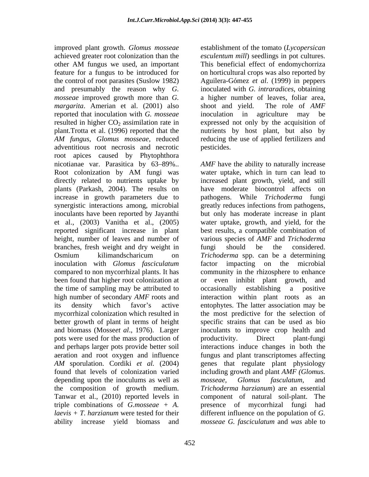improved plant growth. *Glomus mosseae* achieved greater root colonization than the *esculentum mill*) seedlings in pot cultures. other AM fungus we used, an important feature for a fungus to be introduced for on horticultural crops was also reported by the control of root parasites (Suslow 1982) Aguilera-Gómez *et al*. (1999) in peppers and presumably the reason why *G. mosseae* improved growth more than *G.*  a higher number of leaves, foliar area, *margarita*. Amerian et al. (2001) also shoot and yield. The role of AMF reported that inoculation with *G. mosseae* inoculation in agriculture may be resulted in higher  $CO_2$  assimilation rate in expressed not only by the acquisition of plant.Trotta et al. (1996) reported that the nutrients by host plant, but also by *AM fungus, Glomus mosseae,* reduced reducing the use of applied fertilizers and adventitious root necrosis and necrotic root apices caused by Phytophthora nicotianae var. Parasitica by 63–89%.. AMF have the ability to naturally increase Root colonization by AM fungi was water uptake, which in turn can lead to directly related to nutrients uptake by increased plant growth, yield, and still plants (Parkash, 2004). The results on increase in growth parameters due to synergistic interactions among, microbial greatly reduces infections from pathogens, inoculants have been reported by Jayanthi but only has moderate increase in plant et al., (2003) Vanitha et al., (2005) water uptake, growth, and yield, for the reported significant increase in plant height, number of leaves and number of various species of *AMF* and *Trichoderma*  branches, fresh weight and dry weight in Osmium kilimandscharicum on *Trichoderma* spp. can be a determining inoculation with *Glomus fasciculatum* factor impacting on the microbial compared to non mycorrhizal plants. It has community in the rhizosphere to enhance been found that higher root colonization at or even inhibit plant growth, and the time of sampling may be attributed to occasionally establishing a positive high number of secondary *AMF* roots and interaction within plant roots as an its density which favor's active entophytes. The latter association may be mycorrhizal colonization which resulted in the most predictive for the selection of better growth of plant in terms of height and biomass (Mosse*et al*., 1976). Larger inoculants to improve crop health and pots were used for the mass production of the productivity. Direct plant-fungi and perhaps larger pots provide better soil interactions induce changes in both the aeration and root oxygen and influence *AM* sporulation. Cordiki *et al.* (2004) genes that regulate plant physiology found that levels of colonization varied including growth and plant *AMF (Glomus.* depending upon the inoculums as well as *mosseae*, *Glomus fasculatum*, and the composition of growth medium. *Trichoderma harzianum*) are an essential Tanwar et al., (2010) reported levels in component of natural soil-plant. The triple combinations of *G.mosseae + A.* presence of mycorrhizal fungi had *laevis + T. harzianum* were tested for their different influence on the population of *G.* 

establishment of the tomato (*Lycopersican*  This beneficial effect of endomychorriza inoculated with *G. intraradices*, obtaining shoot and yield. The role of *AMF* pesticides.

ability increase yield biomass and *mosseae G. fasciculatum* and *was* able towater uptake, which in turn can lead to have moderate biocontrol affects on pathogens. While *Trichoderma* fungi best results, a compatible combination of fungi should be the considered. *Trichoderma* spp. can be a determining occasionally establishing a positive specific strains that can be used as bio productivity. Direct plant-fungi fungus and plant transcriptomes affecting *mosseae, Glomus fasculatum,* and component of natural soil-plant.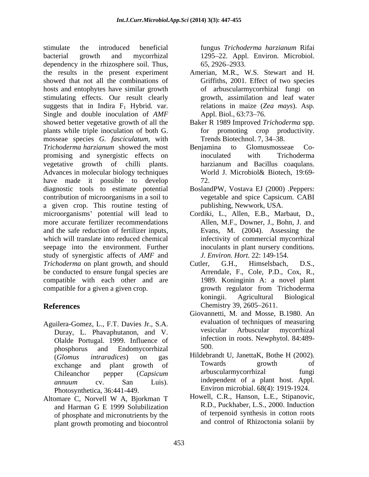stimulate the introduced beneficial fungus *Trichoderma harzianum* Rifai bacterial growth and mycorrhizal 1295 22. Appl. Environ. Microbiol. dependency in the rhizosphere soil. Thus, 65, 2926–2933. the results in the present experiment Amerian, M.R., W.S. Stewart and H. showed that not all the combinations of hosts and entophytes have similar growth stimulating effects. Our result clearly suggests that in Indira  $F_1$  Hybrid. var. Single and double inoculation of *AMF* Appl. Biol., 63:73–76. showed better vegetative growth of all the plants while triple inoculation of both G. mosseae species *G. fasciculatum,* with *Trichoderma harzianum* showed the most promising and synergistic effects on vegetative growth of chilli plants. harzianum and Bacillus coaqulans.<br>Advances in molecular biology techniques World J. Microbiol& Biotech, 19:69have made it possible to develop 72. diagnostic tools to estimate potential BoslandPW, Vostava EJ (2000) .Peppers: contribution of microorganisms in a soil to a given crop. This routine testing of microorganisms potential will lead to Cordiki, L., Allen, E.B., Marbaut, D., more accurate fertilizer recommendations and the safe reduction of fertilizer inputs, which will translate into reduced chemical seepage into the environment. Further study of synergistic affects of *AMF* and *Trichoderma* on plant growth, and should Cutler, G.H., Himselsbach, D.S., be conducted to ensure fungal species are compatible with each other and are compatible for a given a given crop. The growth regulator from Trichoderma

- Aguilera-Gomez, L., F.T. Davies Jr., S.A. evaluation of techniques of measuring<br>Duray I. Phayaphutanon and V. esicular Arbuscular mycorrhizal Duray, L. Phavaphutanon, and V. Olalde Portugal. 1999. Influence of the unit inter-<br>phosphorus and Endomycorrhizal 500. phosphorus and Endomycorrhizal Photosynthetica, 36:441-449.
- Altomare C, Norvell W A, Bjorkman T and Harman G E 1999 Solubilization of phosphate and micronutrients by the plant growth promoting and biocontrol

65, 2926 2933.

- Griffiths, 2001. Effect of two species of arbuscularmycorrhizal fungi on growth, assimilation and leaf water relations in maize (*Zea mays*). Asp. Appl. Biol., 63:73–76.
- Baker R 1989 Improved *Trichoderma* spp. for promoting crop productivity. Trends Biotechnol. 7, 34-38.
- Benjamina to Glomusmosseae Coinoculated with Trichoderma harzianum and Bacillus coaqulans. World J. Microbiol& Biotech, 19:69- 72.
- vegetable and spice Capsicum. CABI publishing, Newwork, USA.
- Allen, M.F., Downer, J., Bohn, J. and Evans, M. (2004). Assessing the infectivity of commercial mycorrhizal inoculants in plant nursery conditions. *J. Environ. Hort.* 22: 149-154.
- **References** Chemistry 39, 2605–2611. Cutler, G.H., Himselsbach, D.S., Arrendale, F., Cole, P.D., Cox, R., 1989. Koninginin A: a novel plant growth regulator from Trichoderma koningii. Agricultural Biological Chemistry 39, 2605–2611.
	- Giovannetti, M. and Mosse, B.1980. An evaluation of techniques of measuring vesicular Arbuscular mycorrhizal infection in roots. Newphytol. 84:489- 500.
	- (*Glomus intraradices*) on gas exchange and plant growth of 10wards growth of the contract of Chileanchor pepper (*Capsicum annuum* cv. San Luis). Independent of a plant host. Appl. Hildebrandt U, JanettaK, Bothe H (2002). Towards growth of arbuscularmycorrhizal fungi independent of a plant host. Appl. Environ microbial. 68(4): 1919-1924.
		- Howell, C.R., Hanson, L.E., Stipanovic, R.D., Puckhaber, L.S., 2000. Induction of terpenoid synthesis in cotton roots and control of Rhizoctonia solanii by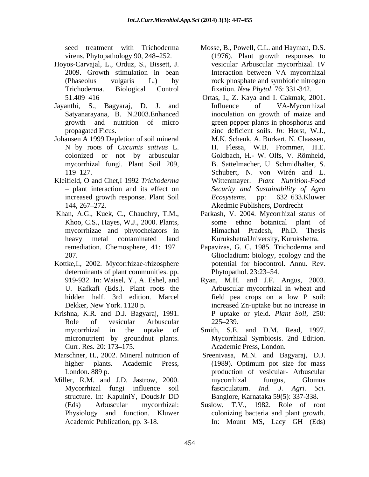- Hoyos-Carvajal, L., Orduz, S., Bissett, J.
- 
- Johansen A 1999 Depletion of soil mineral mycorrhizal fungi. Plant Soil 209,
- Kleifield, O and Chet,I 1992 *Trichoderma*
- 
- determinants of plant communities. pp. Phytopathol. 23:23–54. U. Kafkafi (Eds.). Plant roots the
- Krishna, K.R. and D.J. Bagyaraj, 1991. P uptake or yield. *Plant Soil,* 250: Role of vesicular Arbuscular 225–239.
- Marschner, H., 2002. Mineral nutrition of
- Miller, R.M. and J.D. Jastrow, 2000. The mycorrhizal fungus, Glomus
- seed treatment with Trichoderma Mosse, B., Powell, C.L. and Hayman, D.S. virens. Phytopathology 90, 248 252. (1976). Plant growth responses to 2009. Growth stimulation in bean Interaction between VA mycorrhizal (Phaseolus vulgaris L.) by rock phosphate and symbiotic nitrogen Trichoderma. Biological Control fixation. *New Phytol*. 76: 331-342. vesicular Arbuscular mycorrhizal. IV
- 51.409 416 Ortas, I., Z. Kaya and I. Cakmak, 2001. Jayanthi, S., Bagyaraj, D. J. and Satyanarayana, B. N.2003.Enhanced inoculation on growth of maize and growth and nutrition of micro green pepper plants in phosphorus and propagated Ficus. zinc deficient soils. *In*: Horst, W.J., N by roots of *Cucumis sativus* L. H. Flessa, W.B. Frommer, H.E. colonized or not by arbuscular Goldbach, H.- W. Olfs, V. Römheld, 119 127. Schubert, N. von Wirén and L. plant interaction and its effect on *Security and Sustainability of Agro* increased growth response. Plant Soil *Ecosystems*, pp: 632–633. Kluwer 144, 267 272. Akedmic Publishers, Dordrecht Influence of VA-Mycorrhizal M.K. Schenk, A. Bürkert, N. Claassen, B. Sattelmacher, U. Schmidhalter, S. Wittenmayer. *Plant Nutrition-Food Ecosystems*, pp: 632 633.Kluwer
- Khan, A.G., Kuek, C., Chaudhry, T.M., Parkash, V. 2004. Mycorrhizal status of Khoo, C.S., Hayes, W.J., 2000. Plants, some ethno botanical plant of mycorrhizae and phytochelators in heavy metal contaminated land KurukshetraUniversity, Kurukshetra. some ethno botanical plant of Himachal Pradesh, Ph.D. Thesis
- remediation. Chemosphere, 41: 197 Papavizas, G. C. 1985. Trichoderma and 207. Gliocladium: biology, ecology and the Kottke,I., 2002. Mycorrhizae-rhizosphere potential for biocontrol. Annu. Rev. Phytopathol. 23:23–54.
	- 919-932. In: Waisel, Y., A. Eshel, and Ryan, M.H. and J.F. Angus, 2003. hidden half. 3rd edition. Marcel field pea crops on a low P soil: Dekker, New York. 1120 p. increased Zn-uptake but no increase in Arbuscular mycorrhizal in wheat and 225 239.
	- mycorrhizal in the uptake of Smith, S.E. and D.M. Read, 1997. micronutrient by groundnut plants. Mycorrhizal Symbiosis. 2nd Edition. Curr. Res. 20: 173–175. Academic Press, London. Academic Press, London.
	- higher plants. Academic Press, (1989). Optimum pot size for mass<br>London. 889 p. (1989). production of vesicular- Arbuscular London. 889 p. production of vesicular- Arbuscular Mycorrhizal fungi influence soil fasciculatum. *Ind. J. Agri. Sci.* structure. In: KapulniY, DoudsJr DD Sreenivasa, M.N. and Bagyaraj, D.J. (1989). Optimum pot size for mass mycorrhizal fungus, Glomus fasciculatum. *Ind. J. Agri. Sci*. Banglore, Karnataka 59(5): 337-338.
	- (Eds) Arbuscular mycorrhizal: Suslow, T.V., 1982. Role of root Physiology and function. Kluwer colonizing bacteria and plant growth. Academic Publication, pp. 3-18. In: Mount MS, Lacy GH (Eds)